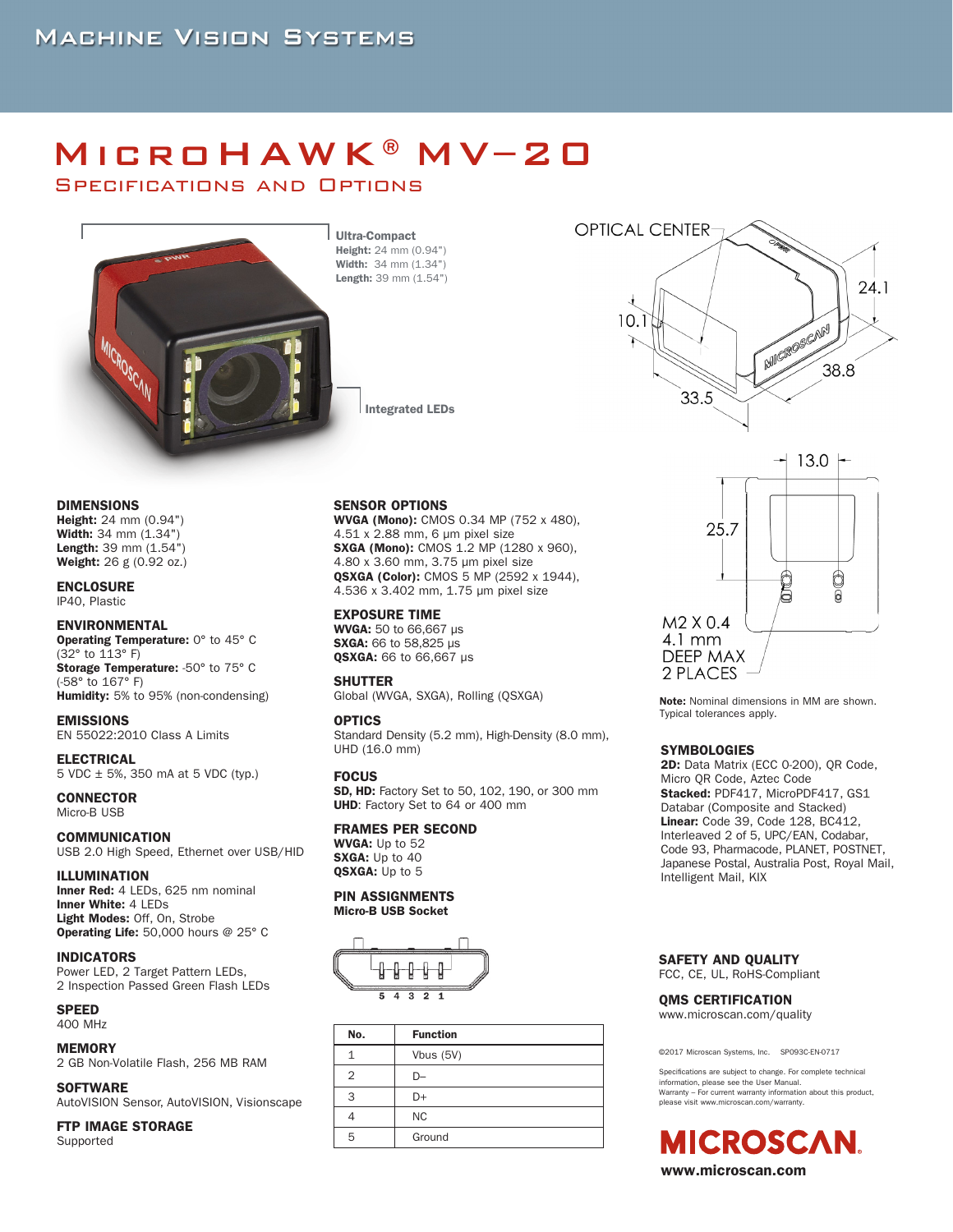# MicroHAWK®MV–20

Specifications and Options



Ultra-Compact Height: 24 mm (0.94") Width: 34 mm (1.34") Length: 39 mm (1.54")

Integrated LEDs

#### DIMENSIONS

Height: 24 mm (0.94") Width: 34 mm (1.34") Length: 39 mm (1.54") Weight: 26 g (0.92 oz.)

### ENCLOSURE

IP40, Plastic

#### ENVIRONMENTAL

Operating Temperature: 0° to 45° C (32° to 113° F) Storage Temperature: -50° to 75° C (-58° to 167° F) Humidity: 5% to 95% (non-condensing)

EMISSIONS EN 55022:2010 Class A Limits

#### ELECTRICAL 5 VDC ± 5%, 350 mA at 5 VDC (typ.)

**CONNECTOR** Micro-B USB

#### COMMUNICATION USB 2.0 High Speed, Ethernet over USB/HID

#### ILLUMINATION

Inner Red: 4 LEDs, 625 nm nominal Inner White: 4 LEDs Light Modes: Off, On, Strobe Operating Life: 50,000 hours @ 25° C

#### INDICATORS

Power LED, 2 Target Pattern LEDs, 2 Inspection Passed Green Flash LEDs

#### **SPEED** 400 MHz

## MEMORY

2 GB Non-Volatile Flash, 256 MB RAM

#### **SOFTWARE**

AutoVISION Sensor, AutoVISION, Visionscape

FTP IMAGE STORAGE Supported

SENSOR OPTIONS WVGA (Mono): CMOS 0.34 MP (752 x 480), 4.51 x 2.88 mm, 6 μm pixel size SXGA (Mono): CMOS 1.2 MP (1280 x 960), 4.80 x 3.60 mm, 3.75 μm pixel size QSXGA (Color): CMOS 5 MP (2592 x 1944), 4.536 x 3.402 mm, 1.75 μm pixel size

#### EXPOSURE TIME

WVGA: 50 to 66,667 μs SXGA: 66 to 58,825 μs QSXGA: 66 to 66,667 μs

#### **SHUTTER**

Global (WVGA, SXGA), Rolling (QSXGA)

#### OPTICS

Standard Density (5.2 mm), High-Density (8.0 mm), UHD (16.0 mm)

#### **FOCUS**

SD, HD: Factory Set to 50, 102, 190, or 300 mm UHD: Factory Set to 64 or 400 mm

#### FRAMES PER SECOND

WVGA: Up to 52 SXGA: Up to 40 QSXGA: Up to 5

#### PIN ASSIGNMENTS Micro-B USB Socket



| No. | <b>Function</b> |  |  |  |  |  |
|-----|-----------------|--|--|--|--|--|
|     | Vbus (5V)       |  |  |  |  |  |
| 2   | D-              |  |  |  |  |  |
| 3   | D+              |  |  |  |  |  |
|     | <b>NC</b>       |  |  |  |  |  |
| 5   | Ground          |  |  |  |  |  |





Note: Nominal dimensions in MM are shown. Typical tolerances apply.

#### **SYMBOLOGIES**

2D: Data Matrix (ECC 0-200), QR Code, Micro QR Code, Aztec Code Stacked: PDF417, MicroPDF417, GS1 Databar (Composite and Stacked) Linear: Code 39, Code 128, BC412, Interleaved 2 of 5, UPC/EAN, Codabar, Code 93, Pharmacode, PLANET, POSTNET, Japanese Postal, Australia Post, Royal Mail, Intelligent Mail, KIX

#### SAFETY AND QUALITY FCC, CE, UL, RoHS-Compliant

#### OMS CERTIFICATION

www.microscan.com/quality

©2017 Microscan Systems, Inc. SP093C-EN-0717

Specifications are subject to change. For complete technical information, please see the User Manual. Warranty – For current warranty information about this product, please visit www.microscan.com/warranty.